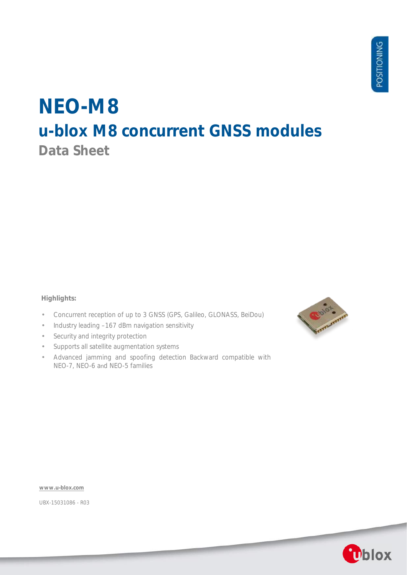# **NEO-M8 u-blox M8 concurrent GNSS modules Data Sheet**

### **Highlights:**

- Concurrent reception of up to 3 GNSS (GPS, Galileo, GLONASS, BeiDou)  $\bar{z}$
- Industry leading –167 dBm navigation sensitivity i,
- Security and integrity protection  $\overline{\phantom{a}}$
- Supports all satellite augmentation systems
- Advanced jamming and spoofing detection Backward compatible with NEO-7, NEO-6 and NEO-5 families



**[www.u-blox.com](http://www.u-blox.com/)**

UBX-15031086 - R03

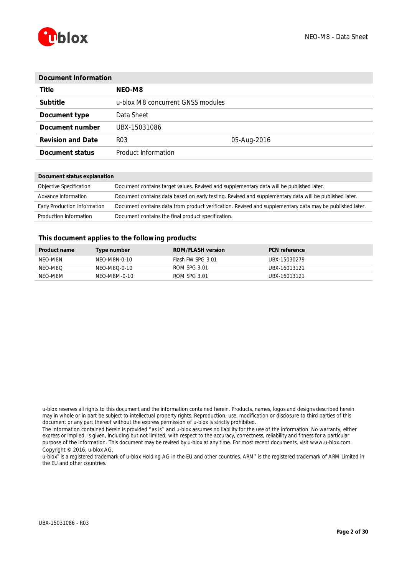

| Document Information     |                                   |             |  |  |  |  |
|--------------------------|-----------------------------------|-------------|--|--|--|--|
| Title                    | NEO-M8                            |             |  |  |  |  |
| Subtitle                 | u-blox M8 concurrent GNSS modules |             |  |  |  |  |
| Document type            | Data Sheet                        |             |  |  |  |  |
| Document number          | UBX-15031086                      |             |  |  |  |  |
| <b>Revision and Date</b> | R <sub>0</sub> 3                  | 05-Aug-2016 |  |  |  |  |
| Document status          | Product Information               |             |  |  |  |  |
|                          |                                   |             |  |  |  |  |

#### **Document status explanation**

| Objective Specification      | Document contains target values. Revised and supplementary data will be published later.                 |
|------------------------------|----------------------------------------------------------------------------------------------------------|
| Advance Information          | Document contains data based on early testing. Revised and supplementary data will be published later.   |
| Early Production Information | Document contains data from product verification. Revised and supplementary data may be published later. |
| Production Information       | Document contains the final product specification.                                                       |

#### **This document applies to the following products:**

| <b>Product name</b> | Type number  | ROM/FLASH version | <b>PCN</b> reference |
|---------------------|--------------|-------------------|----------------------|
| NFO-M8N             | NFO-M8N-0-10 | Flash FW SPG 3.01 | LIBX-15030279        |
| NFO-M8O             | NFO-M8O-0-10 | ROM SPG 3.01      | LIBX-16013121        |
| NFO-M8M             | NFO-M8M-0-10 | ROM SPG 3.01      | LIBX-16013121        |

u-blox® is a registered trademark of u-blox Holding AG in the EU and other countries. ARM® is the registered trademark of ARM Limited in the EU and other countries.

u-blox reserves all rights to this document and the information contained herein. Products, names, logos and designs described herein may in whole or in part be subject to intellectual property rights. Reproduction, use, modification or disclosure to third parties of this document or any part thereof without the express permission of u-blox is strictly prohibited.

The information contained herein is provided "as is" and u-blox assumes no liability for the use of the information. No warranty, either express or implied, is given, including but not limited, with respect to the accuracy, correctness, reliability and fitness for a particular purpose of the information. This document may be revised by u-blox at any time. For most recent documents, visit www.u-blox.com. Copyright © 2016, u-blox AG.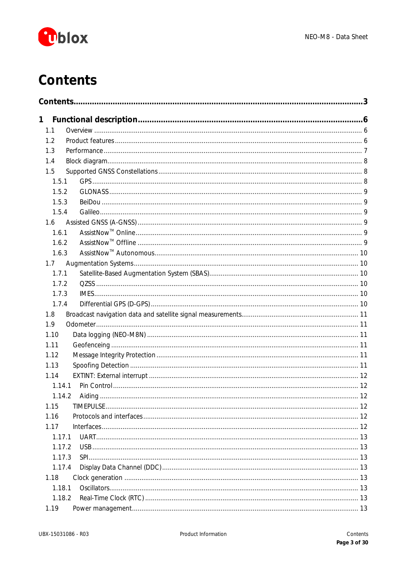

# <span id="page-2-0"></span>**Contents**

| 1     |        |  |
|-------|--------|--|
| 1.1   |        |  |
| 1.2   |        |  |
| 1.3   |        |  |
| 1.4   |        |  |
| 1.5   |        |  |
| 1.5.1 |        |  |
| 1.5.2 |        |  |
| 1.5.3 |        |  |
| 1.5.4 |        |  |
| 1.6   |        |  |
| 1.6.1 |        |  |
| 1.6.2 |        |  |
| 1.6.3 |        |  |
| 1.7   |        |  |
| 1.7.1 |        |  |
| 1.7.2 |        |  |
| 1.7.3 |        |  |
| 1.7.4 |        |  |
| 1.8   |        |  |
| 1.9   |        |  |
| 1.10  |        |  |
| 1.11  |        |  |
| 1.12  |        |  |
| 1.13  |        |  |
| 1.14  |        |  |
|       | 1.14.1 |  |
|       | 1.14.2 |  |
| 1.15  |        |  |
| 1.16  |        |  |
| 1.17  |        |  |
|       | 1.17.1 |  |
|       | 1.17.2 |  |
|       | 1.17.3 |  |
|       | 1.17.4 |  |
| 1.18  |        |  |
|       | 1.18.1 |  |
|       | 1.18.2 |  |
| 1.19  |        |  |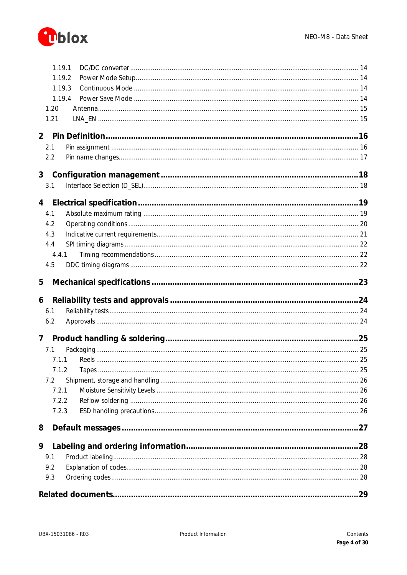

|                | 1.19.1         |      |
|----------------|----------------|------|
|                | 1.19.2         |      |
|                | 1.19.3         |      |
|                | 1.19.4         |      |
|                | 1.20           |      |
|                | 1.21           |      |
|                |                |      |
| 2 <sup>1</sup> |                |      |
|                | 2.1            |      |
|                | 2.2            |      |
|                |                |      |
| 3 <sup>1</sup> |                |      |
|                | 3.1            |      |
|                |                |      |
| $\overline{4}$ |                |      |
|                | 4.1            |      |
|                | 4.2            |      |
|                | 4.3            |      |
|                | 4.4            |      |
|                | 4.4.1          |      |
|                | 4.5            |      |
|                |                |      |
| 5              |                |      |
|                |                |      |
|                |                |      |
| 6              |                |      |
|                | 6.1            |      |
|                | 6.2            |      |
| $\overline{7}$ |                |      |
|                |                |      |
|                | 7.1<br>7.1.1   |      |
|                |                |      |
|                | 7.1.2<br>Tapes | . 25 |
|                | 7.2            |      |
|                | 7.2.1          |      |
|                | 7.2.2          |      |
|                | 7.2.3          |      |
|                |                |      |
| 8              |                |      |
| 9              |                |      |
|                | 9.1            |      |
|                | 9.2            |      |
|                | 9.3            |      |
|                |                |      |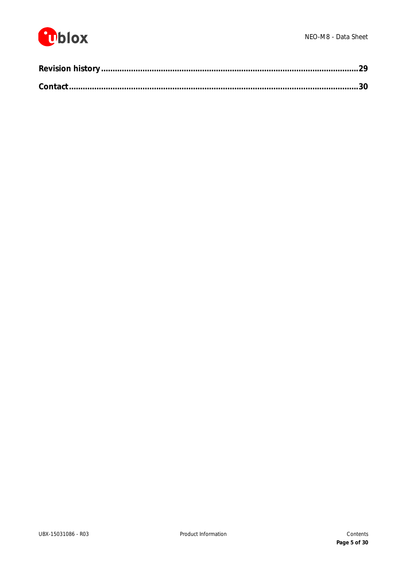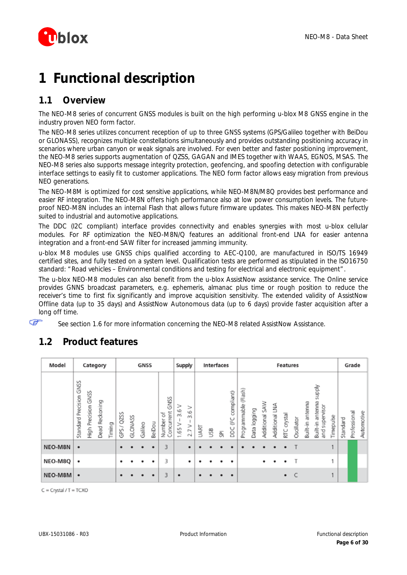

# <span id="page-5-0"></span>**1 Functional description**

# <span id="page-5-1"></span>**1.1 Overview**

The NEO-M8 series of concurrent GNSS modules is built on the high performing u-blox M8 GNSS engine in the industry proven NEO form factor.

The NEO-M8 series utilizes concurrent reception of up to three GNSS systems (GPS/Galileo together with BeiDou or GLONASS), recognizes multiple constellations simultaneously and provides outstanding positioning accuracy in scenarios where urban canyon or weak signals are involved. For even better and faster positioning improvement, the NEO-M8 series supports augmentation of QZSS, GAGAN and IMES together with WAAS, EGNOS, MSAS. The NEO-M8 series also supports message integrity protection, geofencing, and spoofing detection with configurable interface settings to easily fit to customer applications. The NEO form factor allows easy migration from previous NEO generations.

The NEO-M8M is optimized for cost sensitive applications, while NEO-M8N/M8Q provides best performance and easier RF integration. The NEO-M8N offers high performance also at low power consumption levels. The futureproof NEO-M8N includes an internal Flash that allows future firmware updates. This makes NEO-M8N perfectly suited to industrial and automotive applications.

The DDC (I2C compliant) interface provides connectivity and enables synergies with most u-blox cellular modules. For RF optimization the NEO-M8N/Q features an additional front-end LNA for easier antenna integration and a front-end SAW filter for increased jamming immunity.

u-blox M8 modules use GNSS chips qualified according to AEC-Q100, are manufactured in ISO/TS 16949 certified sites, and fully tested on a system level. Qualification tests are performed as stipulated in the ISO16750 standard: "Road vehicles – Environmental conditions and testing for electrical and electronic equipment".

The u-blox NEO-M8 modules can also benefit from the u-blox AssistNow assistance service. The Online service provides GNNS broadcast parameters, e.g. ephemeris, almanac plus time or rough position to reduce the receiver's time to first fix significantly and improve acquisition sensitivity. The extended validity of AssistNow Offline data (up to 35 days) and AssistNow Autonomous data (up to 6 days) provide faster acquisition after a long off time.

See section [1.6](#page-8-3) for more information concerning the NEO-M8 related AssistNow Assistance.

| Model   |                         | Category            |                |        |                             |         | <b>GNSS</b> |        |                                 |                       | Supply           |      | Interfaces |   |                                  |                      |              |                          |                | <b>Features</b> |            |                  |                                                |           |          | Grade        |            |
|---------|-------------------------|---------------------|----------------|--------|-----------------------------|---------|-------------|--------|---------------------------------|-----------------------|------------------|------|------------|---|----------------------------------|----------------------|--------------|--------------------------|----------------|-----------------|------------|------------------|------------------------------------------------|-----------|----------|--------------|------------|
|         | Standard Precision GNSS | High Precision GNSS | Dead Reckoning | Timing | QZSS<br>$\overline{}$<br>ξġ | GLONASS | Galileo     | BeiDou | GNSS<br>Concurrent<br>Number of | ⋗<br>3.6<br>><br>1.65 | ⋗<br>3.6<br>2.7V | UART | USB        | 혽 | DDC (I <sup>2</sup> C compliant) | Programmable (Flash) | Data logging | <b>SAW</b><br>Additional | Additional LNA | crystal<br>RTC  | Oscillator | Built-in antenna | Addns<br>antenna<br>and supervisor<br>Built-in | Timepulse | Standard | Professional | Automotive |
| NEO-M8N | ٠                       |                     |                |        | ٠                           |         |             | ٠      | 3                               |                       | ٠                |      |            |   |                                  |                      |              |                          |                |                 |            |                  |                                                |           |          |              |            |
| NEO-M8Q | ٠                       |                     |                |        | ٠                           |         |             |        | 3                               |                       | ٠                |      |            |   |                                  |                      |              |                          |                |                 | т          |                  |                                                | H,        |          |              |            |
| NEO-M8M | $\bullet$               |                     |                |        | ٠                           |         |             | ٠      | 3                               | ٠                     |                  | ٠    |            |   |                                  |                      |              |                          |                | $\bullet$       | C          |                  |                                                |           |          |              |            |

# <span id="page-5-2"></span>**1.2 Product features**

ক্তে

 $C = Crystal / T = TCXO$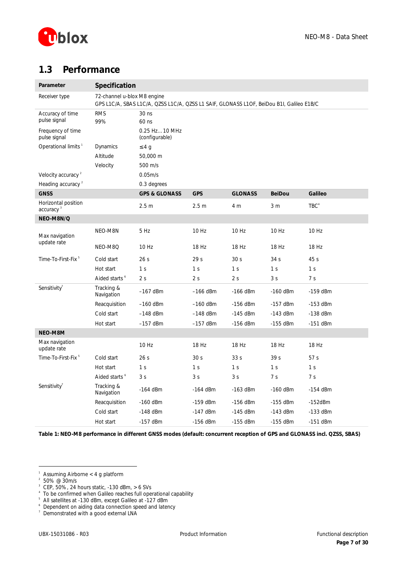

# <span id="page-6-0"></span>**1.3 Performance**

| Parameter                                    | Specification               |                                                                                          |                  |                 |                 |                  |
|----------------------------------------------|-----------------------------|------------------------------------------------------------------------------------------|------------------|-----------------|-----------------|------------------|
| Receiver type                                | 72-channel u-blox M8 engine | GPS L1C/A, SBAS L1C/A, QZSS L1C/A, QZSS L1 SAIF, GLONASS L1OF, BeiDou B1I, Galileo E1B/C |                  |                 |                 |                  |
| Accuracy of time<br>pulse signal             | <b>RMS</b><br>99%           | 30 <sub>ns</sub><br>60 ns                                                                |                  |                 |                 |                  |
| Frequency of time<br>pulse signal            |                             | 0.25 Hz10 MHz<br>(configurable)                                                          |                  |                 |                 |                  |
| Operational limits <sup>1</sup>              | Dynamics                    | £4g                                                                                      |                  |                 |                 |                  |
|                                              | Altitude                    | 50,000 m                                                                                 |                  |                 |                 |                  |
|                                              | Velocity                    | 500 m/s                                                                                  |                  |                 |                 |                  |
| Velocity accuracy <sup>2</sup>               |                             | 0.05 <sub>m/s</sub>                                                                      |                  |                 |                 |                  |
| Heading accuracy <sup>2</sup>                |                             | 0.3 degrees                                                                              |                  |                 |                 |                  |
| <b>GNSS</b>                                  |                             | <b>GPS &amp; GLONASS</b>                                                                 | <b>GPS</b>       | <b>GLONASS</b>  | <b>BeiDou</b>   | Galileo          |
| Horizontal position<br>accuracy <sup>3</sup> |                             | 2.5 <sub>m</sub>                                                                         | 2.5 <sub>m</sub> | 4 m             | 3 <sub>m</sub>  | TBC <sup>4</sup> |
| NEO-M8N/Q                                    |                             |                                                                                          |                  |                 |                 |                  |
| Max navigation                               | NEO-M8N                     | 5 Hz                                                                                     | 10 Hz            | 10 Hz           | 10 Hz           | 10 Hz            |
| update rate                                  | NEO-M8Q                     | 10 Hz                                                                                    | 18 Hz            | 18 Hz           | 18 Hz           | 18 Hz            |
| Time-To-First-Fix <sup>5</sup>               | Cold start                  | 26s                                                                                      | 29 <sub>s</sub>  | 30 <sub>s</sub> | 34 <sub>s</sub> | 45s              |
|                                              | Hot start                   | 1 <sub>s</sub>                                                                           | 1 <sub>s</sub>   | 1 <sup>s</sup>  | 1 <sub>s</sub>  | 1 <sup>s</sup>   |
|                                              | Aided starts <sup>6</sup>   | 2 <sub>s</sub>                                                                           | 2s               | 2 <sub>s</sub>  | 3 <sub>s</sub>  | 7 <sub>s</sub>   |
| Sensitivity <sup>7</sup>                     | Tracking &<br>Navigation    | $-167$ dBm                                                                               | $-166$ dBm       | $-166$ dBm      | $-160$ dBm      | $-159$ dBm       |
|                                              | Reacquisition               | $-160$ dBm                                                                               | $-160$ dBm       | $-156$ dBm      | $-157$ dBm      | $-153$ dBm       |
|                                              | Cold start                  | $-148$ dBm                                                                               | $-148$ dBm       | $-145$ dBm      | $-143$ dBm      | $-138$ dBm       |
|                                              | Hot start                   | $-157$ dBm                                                                               | $-157$ dBm       | $-156$ dBm      | $-155$ dBm      | $-151$ dBm       |
| NEO-M8M                                      |                             |                                                                                          |                  |                 |                 |                  |
| Max navigation<br>update rate                |                             | 10 Hz                                                                                    | 18 Hz            | 18 Hz           | 18 Hz           | 18 Hz            |
| Time-To-First-Fix <sup>5</sup>               | Cold start                  | 26s                                                                                      | 30 <sub>s</sub>  | 33 <sub>s</sub> | 39 <sub>s</sub> | 57 <sub>s</sub>  |
|                                              | Hot start                   | 1 <sub>s</sub>                                                                           | 1 <sub>s</sub>   | 1 <sub>s</sub>  | 1 <sub>s</sub>  | 1 <sub>s</sub>   |
|                                              | Aided starts <sup>6</sup>   | 3 <sub>s</sub>                                                                           | 3s               | 3s              | 7 <sub>s</sub>  | 7 <sub>s</sub>   |
| Sensitivity <sup>7</sup>                     | Tracking &<br>Navigation    | $-164$ dBm                                                                               | $-164$ dBm       | $-163$ dBm      | $-160$ dBm      | $-154$ dBm       |
|                                              | Reacquisition               | $-160$ dBm                                                                               | $-159$ dBm       | $-156$ dBm      | $-155$ dBm      | $-152$ d $Bm$    |
|                                              | Cold start                  | $-148$ dBm                                                                               | $-147$ dBm       | $-145$ dBm      | $-143$ dBm      | $-133$ dBm       |
|                                              | Hot start                   | $-157$ dBm                                                                               | $-156$ dBm       | $-155$ dBm      | $-155$ dBm      | $-151$ dBm       |

**Table 1: NEO-M8 performance in different GNSS modes (default: concurrent reception of GPS and GLONASS incl. QZSS, SBAS)**

 $\overline{a}$ 

- 
- <sup>3</sup> CEP, 50%, 24 hours static, -130 dBm, > 6 SVs<br><sup>4</sup> To be confirmed when Galileo reaches full operational capability<br><sup>5</sup> All estallites at 130 dPm, except Calileo at 137 dPm

<sup>1</sup> Assuming Airborne < 4 g platform

<sup>2</sup> 50% @ 30m/s

<sup>&</sup>lt;sup>5</sup> All satellites at -130 dBm, except Galileo at -127 dBm

<sup>6</sup> Dependent on aiding data connection speed and latency

<sup>7</sup> Demonstrated with a good external LNA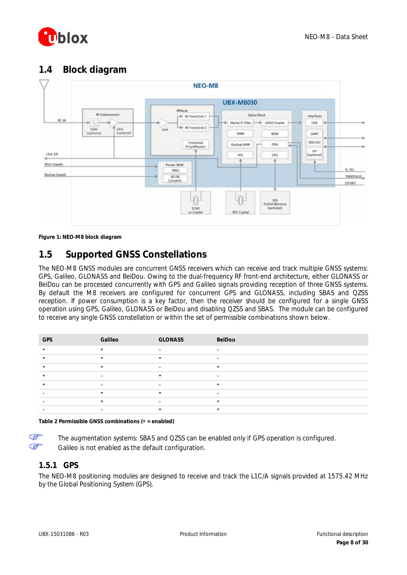

# <span id="page-7-0"></span>**1.4 Block diagram**



**Figure 1: NEO-M8 block diagram**

# <span id="page-7-1"></span>**1.5 Supported GNSS Constellations**

The NEO-M8 GNSS modules are concurrent GNSS receivers which can receive and track multiple GNSS systems: GPS, Galileo, GLONASS and BeiDou. Owing to the dual-frequency RF front-end architecture, either GLONASS or BeiDou can be processed concurrently with GPS and Galileo signals providing reception of three GNSS systems. By default the M8 receivers are configured for concurrent GPS and GLONASS, including SBAS and QZSS reception. If power consumption is a key factor, then the receiver should be configured for a single GNSS operation using GPS, Galileo, GLONASS or BeiDou and disabling QZSS and SBAS. The module can be configured to receive any single GNSS constellation or within the set of permissible combinations shown below.

| <b>GPS</b> | Galileo | <b>GLONASS</b> | BeiDou                   |
|------------|---------|----------------|--------------------------|
|            |         |                |                          |
|            |         | $\bullet$      | $\overline{\phantom{0}}$ |
|            |         | -              |                          |
|            | -       |                |                          |
|            |         |                |                          |
|            |         | $\bullet$      |                          |
|            |         | -              |                          |
|            |         |                |                          |

**Table 2 Permissible GNSS combinations (• = enabled)**

F ক্লে

The augmentation systems: SBAS and QZSS can be enabled only if GPS operation is configured. Galileo is not enabled as the default configuration.

### <span id="page-7-2"></span>**1.5.1 GPS**

The NEO-M8 positioning modules are designed to receive and track the L1C/A signals provided at 1575.42 MHz by the Global Positioning System (GPS).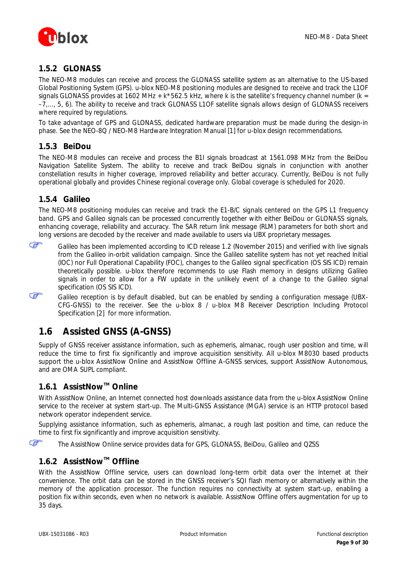

### <span id="page-8-0"></span>**1.5.2 GLONASS**

The NEO-M8 modules can receive and process the GLONASS satellite system as an alternative to the US-based Global Positioning System (GPS). u-blox NEO-M8 positioning modules are designed to receive and track the L1OF signals GLONASS provides at 1602 MHz +  $k*562.5$  kHz, where k is the satellite's frequency channel number ( $k =$ –7,..., 5, 6). The ability to receive and track GLONASS L1OF satellite signals allows design of GLONASS receivers where required by regulations.

To take advantage of GPS and GLONASS, dedicated hardware preparation must be made during the design-in phase. See the *NEO-8Q / NEO-M8 Hardware Integration Manual* [\[1\]](#page-28-2) for u-blox design recommendations.

### <span id="page-8-1"></span>**1.5.3 BeiDou**

The NEO-M8 modules can receive and process the B1I signals broadcast at 1561.098 MHz from the BeiDou Navigation Satellite System. The ability to receive and track BeiDou signals in conjunction with another constellation results in higher coverage, improved reliability and better accuracy. Currently, BeiDou is not fully operational globally and provides Chinese regional coverage only. Global coverage is scheduled for 2020.

### <span id="page-8-2"></span>**1.5.4 Galileo**

F

The NEO-M8 positioning modules can receive and track the E1-B/C signals centered on the GPS L1 frequency band. GPS and Galileo signals can be processed concurrently together with either BeiDou or GLONASS signals, enhancing coverage, reliability and accuracy. The SAR return link message (RLM) parameters for both short and long versions are decoded by the receiver and made available to users via UBX proprietary messages.

**P** Galileo has been implemented according to ICD release 1.2 (November 2015) and verified with live signals from the Galileo in-orbit validation campaign. Since the Galileo satellite system has not yet reached Initial (IOC) nor Full Operational Capability (FOC), changes to the Galileo signal specification (OS SIS ICD) remain theoretically possible. u-blox therefore recommends to use Flash memory in designs utilizing Galileo signals in order to allow for a FW update in the unlikely event of a change to the Galileo signal specification (OS SIS ICD).

Galileo reception is by default disabled, but can be enabled by sending a configuration message (UBX-CFG-GNSS) to the receiver. See the *u-blox 8 / u-blox M8 Receiver Description Including Protocol Specification* [2] for more information.

# <span id="page-8-3"></span>**1.6 Assisted GNSS (A-GNSS)**

Supply of GNSS receiver assistance information, such as ephemeris, almanac, rough user position and time, will reduce the time to first fix significantly and improve acquisition sensitivity. All u-blox M8030 based products support the u-blox AssistNow Online and AssistNow Offline A-GNSS services, support AssistNow Autonomous, and are OMA SUPL compliant.

### <span id="page-8-4"></span>**1.6.1 AssistNowTM Online**

With AssistNow Online, an Internet connected host downloads assistance data from the u-blox AssistNow Online service to the receiver at system start-up. The Multi-GNSS Assistance (MGA) service is an HTTP protocol based network operator independent service.

Supplying assistance information, such as ephemeris, almanac, a rough last position and time, can reduce the time to first fix significantly and improve acquisition sensitivity.

Œ The AssistNow Online service provides data for GPS, GLONASS, BeiDou, Galileo and QZSS

### <span id="page-8-5"></span>**1.6.2 AssistNowTM Offline**

With the AssistNow Offline service, users can download long-term orbit data over the Internet at their convenience. The orbit data can be stored in the GNSS receiver's SQI flash memory or alternatively within the memory of the application processor. The function requires no connectivity at system start-up, enabling a position fix within seconds, even when no network is available. AssistNow Offline offers augmentation for up to 35 days.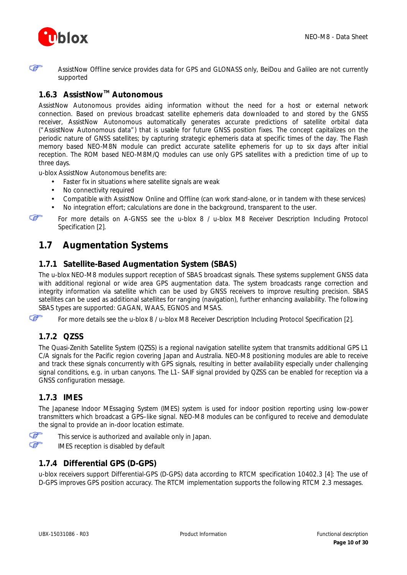



AssistNow Offline service provides data for GPS and GLONASS only, BeiDou and Galileo are not currently supported

### <span id="page-9-0"></span>**1.6.3 AssistNowTM Autonomous**

AssistNow Autonomous provides aiding information without the need for a host or external network connection. Based on previous broadcast satellite ephemeris data downloaded to and stored by the GNSS receiver, AssistNow Autonomous automatically generates accurate predictions of satellite orbital data ("AssistNow Autonomous data") that is usable for future GNSS position fixes. The concept capitalizes on the periodic nature of GNSS satellites; by capturing strategic ephemeris data at specific times of the day. The Flash memory based NEO-M8N module can predict accurate satellite ephemeris for up to six days after initial reception. The ROM based NEO-M8M/Q modules can use only GPS satellites with a prediction time of up to three days.

u-blox AssistNow Autonomous benefits are:

- Faster fix in situations where satellite signals are weak  $\mathbf{r}$
- No connectivity required
- Compatible with AssistNow Online and Offline (can work stand-alone, or in tandem with these services)
- No integration effort; calculations are done in the background, transparent to the user.

ক্ত

For more details on A-GNSS see the *u-blox 8 / u-blox M8 Receiver Description Including Protocol Specification* [\[2\].](#page-28-3)

# <span id="page-9-1"></span>**1.7 Augmentation Systems**

### <span id="page-9-2"></span>**1.7.1 Satellite-Based Augmentation System (SBAS)**

The u-blox NEO-M8 modules support reception of SBAS broadcast signals. These systems supplement GNSS data with additional regional or wide area GPS augmentation data. The system broadcasts range correction and integrity information via satellite which can be used by GNSS receivers to improve resulting precision. SBAS satellites can be used as additional satellites for ranging (navigation), further enhancing availability. The following SBAS types are supported: GAGAN, WAAS, EGNOS and MSAS.

F For more details see the u-blox 8 / u-blox M8 Receiver Description Including Protocol Specification [\[2\].](#page-28-3)

### <span id="page-9-3"></span>**1.7.2 QZSS**

The Quasi-Zenith Satellite System (QZSS) is a regional navigation satellite system that transmits additional GPS L1 C/A signals for the Pacific region covering Japan and Australia. NEO-M8 positioning modules are able to receive and track these signals concurrently with GPS signals, resulting in better availability especially under challenging signal conditions, e.g. in urban canyons. The L1- SAIF signal provided by QZSS can be enabled for reception via a GNSS configuration message.

### <span id="page-9-4"></span>**1.7.3 IMES**

The Japanese Indoor MEssaging System (IMES) system is used for indoor position reporting using low-power transmitters which broadcast a GPS–like signal. NEO-M8 modules can be configured to receive and demodulate the signal to provide an in-door location estimate.

Œ This service is authorized and available only in Japan.

Œ IMES reception is disabled by default

### <span id="page-9-5"></span>**1.7.4 Differential GPS (D-GPS)**

u-blox receivers support Differential-GPS (D-GPS) data according to RTCM specification 10402.3 [\[4\]:](#page-28-4) The use of D-GPS improves GPS position accuracy. The RTCM implementation supports the following RTCM 2.3 messages.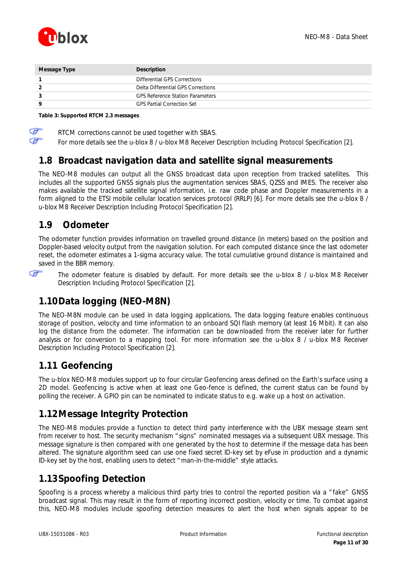

| Message Type | Description                             |
|--------------|-----------------------------------------|
|              | Differential GPS Corrections            |
|              | Delta Differential GPS Corrections      |
|              | <b>GPS Reference Station Parameters</b> |
| Q            | <b>GPS Partial Correction Set</b>       |
|              |                                         |

#### **Table 3: Supported RTCM 2.3 messages**

F RTCM corrections cannot be used together with SBAS.

ক্লে

For more details see the u-blox 8 / u-blox M8 Receiver Description Including Protocol Specification [\[2\].](#page-28-3)

## <span id="page-10-0"></span>**1.8 Broadcast navigation data and satellite signal measurements**

The NEO-M8 modules can output all the GNSS broadcast data upon reception from tracked satellites. This includes all the supported GNSS signals plus the augmentation services SBAS, QZSS and IMES. The receiver also makes available the tracked satellite signal information, i.e. raw code phase and Doppler measurements in a form aligned to the ETSI mobile cellular location services protocol (RRLP) [\[6\].](#page-28-5) For more details see the *u-blox 8 / u-blox M8 Receiver Description Including Protocol Specification* [\[2\].](#page-28-3)

### <span id="page-10-1"></span>**1.9 Odometer**

The odometer function provides information on travelled ground distance (in meters) based on the position and Doppler-based velocity output from the navigation solution. For each computed distance since the last odometer reset, the odometer estimates a 1-sigma accuracy value. The total cumulative ground distance is maintained and saved in the BBR memory.

ক্লে

The odometer feature is disabled by default. For more details see the *u-blox 8 / u-blox M8 Receiver Description Including Protocol Specification* [\[2\].](#page-28-3)

# <span id="page-10-2"></span>**1.10Data logging (NEO-M8N)**

The NEO-M8N module can be used in data logging applications. The data logging feature enables continuous storage of position, velocity and time information to an onboard SQI flash memory (at least 16 Mbit). It can also log the distance from the odometer. The information can be downloaded from the receiver later for further analysis or for conversion to a mapping tool. For more information see the *u-blox 8 / u-blox M8 Receiver Description Including Protocol Specification* [\[2\].](#page-28-3)

# <span id="page-10-3"></span>**1.11 Geofencing**

The u-blox NEO-M8 modules support up to four circular Geofencing areas defined on the Earth's surface using a 2D model. Geofencing is active when at least one Geo-fence is defined, the current status can be found by polling the receiver. A GPIO pin can be nominated to indicate status to e.g. wake up a host on activation.

# <span id="page-10-4"></span>**1.12Message Integrity Protection**

The NEO-M8 modules provide a function to detect third party interference with the UBX message steam sent from receiver to host. The security mechanism "signs" nominated messages via a subsequent UBX message. This message signature is then compared with one generated by the host to determine if the message data has been altered. The signature algorithm seed can use one fixed secret ID-key set by eFuse in production and a dynamic ID-key set by the host, enabling users to detect "man-in-the-middle" style attacks.

# <span id="page-10-5"></span>**1.13Spoofing Detection**

Spoofing is a process whereby a malicious third party tries to control the reported position via a "fake" GNSS broadcast signal. This may result in the form of reporting incorrect position, velocity or time. To combat against this, NEO-M8 modules include spoofing detection measures to alert the host when signals appear to be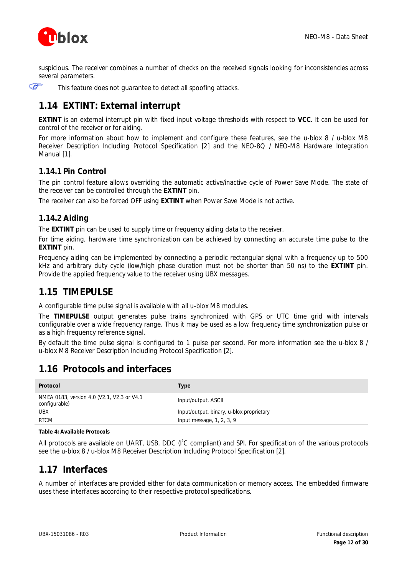

suspicious. The receiver combines a number of checks on the received signals looking for inconsistencies across several parameters.

Œ

This feature does not guarantee to detect all spoofing attacks.

# <span id="page-11-0"></span>**1.14 EXTINT: External interrupt**

**EXTINT** is an external interrupt pin with fixed input voltage thresholds with respect to **VCC**. It can be used for control of the receiver or for aiding.

For more information about how to implement and configure these features, see the *u-blox 8 / u-blox M8 Receiver Description Including Protocol Specification* [\[2\]](#page-28-3) and the *NEO-8Q / NEO-M8 Hardware Integration Manual* [\[1\].](#page-28-2)

#### <span id="page-11-1"></span>**1.14.1 Pin Control**

The pin control feature allows overriding the automatic active/inactive cycle of Power Save Mode. The state of the receiver can be controlled through the **EXTINT** pin.

<span id="page-11-2"></span>The receiver can also be forced OFF using **EXTINT** when Power Save Mode is not active.

#### **1.14.2 Aiding**

The **EXTINT** pin can be used to supply time or frequency aiding data to the receiver.

For time aiding, hardware time synchronization can be achieved by connecting an accurate time pulse to the **EXTINT** pin.

Frequency aiding can be implemented by connecting a periodic rectangular signal with a frequency up to 500 kHz and arbitrary duty cycle (low/high phase duration must not be shorter than 50 ns) to the **EXTINT** pin. Provide the applied frequency value to the receiver using UBX messages.

## <span id="page-11-3"></span>**1.15 TIMEPULSE**

A configurable time pulse signal is available with all u-blox M8 modules.

The **TIMEPULSE** output generates pulse trains synchronized with GPS or UTC time grid with intervals configurable over a wide frequency range. Thus it may be used as a low frequency time synchronization pulse or as a high frequency reference signal.

By default the time pulse signal is configured to 1 pulse per second. For more information see the *u-blox 8 / u-blox M8 Receiver Description Including Protocol Specification* [\[2\].](#page-28-3)

# <span id="page-11-4"></span>**1.16 Protocols and interfaces**

| Protocol                                                    | Type                                     |
|-------------------------------------------------------------|------------------------------------------|
| NMEA 0183, version 4.0 (V2.1, V2.3 or V4.1<br>configurable) | Input/output, ASCII                      |
| <b>UBX</b>                                                  | Input/output, binary, u-blox proprietary |
| <b>RTCM</b>                                                 | Input message, $1, 2, 3, 9$              |

#### **Table 4: Available Protocols**

All protocols are available on UART, USB, DDC (I<sup>2</sup>C compliant) and SPI. For specification of the various protocols see the *u-blox 8 / u-blox M8 Receiver Description Including Protocol Specification* [\[2\].](#page-28-3)

## <span id="page-11-5"></span>**1.17 Interfaces**

A number of interfaces are provided either for data communication or memory access. The embedded firmware uses these interfaces according to their respective protocol specifications.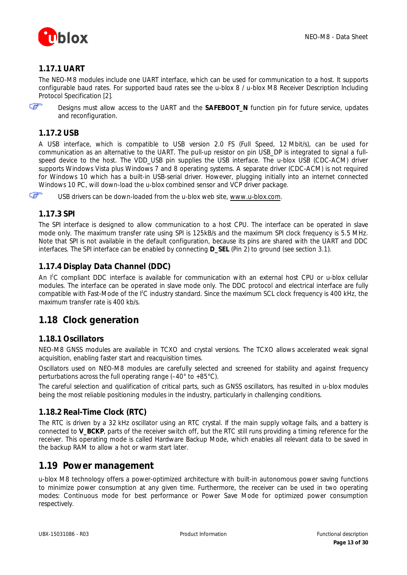

### <span id="page-12-0"></span>**1.17.1 UART**

The NEO-M8 modules include one UART interface, which can be used for communication to a host. It supports configurable baud rates. For supported baud rates see the *u-blox 8 / u-blox M8 Receiver Description Including Protocol Specification* [\[2\].](#page-28-3)

F

Designs must allow access to the UART and the **SAFEBOOT\_N** function pin for future service, updates and reconfiguration.

#### <span id="page-12-1"></span>**1.17.2 USB**

A USB interface, which is compatible to USB version 2.0 FS (Full Speed, 12 Mbit/s), can be used for communication as an alternative to the UART. The pull-up resistor on pin USB\_DP is integrated to signal a fullspeed device to the host. The VDD\_USB pin supplies the USB interface. The u-blox USB (CDC-ACM) driver supports Windows Vista plus Windows 7 and 8 operating systems. A separate driver (CDC-ACM) is not required for Windows 10 which has a built-in USB-serial driver. However, plugging initially into an internet connected Windows 10 PC, will down-load the u-blox combined sensor and VCP driver package.

Œ

USB drivers can be down-loaded from the u-blox web site, [www.u-blox.com.](http://www.u-blox.com/)

### <span id="page-12-2"></span>**1.17.3 SPI**

The SPI interface is designed to allow communication to a host CPU. The interface can be operated in slave mode only. The maximum transfer rate using SPI is 125kB/s and the maximum SPI clock frequency is 5.5 MHz. Note that SPI is not available in the default configuration, because its pins are shared with the UART and DDC interfaces. The SPI interface can be enabled by connecting **D\_SEL** (Pin 2) to ground (see section [3.1\)](#page-17-1).

### <span id="page-12-3"></span>**1.17.4 Display Data Channel (DDC)**

An I<sup>2</sup>C compliant DDC interface is available for communication with an external host CPU or u-blox cellular modules. The interface can be operated in slave mode only. The DDC protocol and electrical interface are fully compatible with Fast-Mode of the I<sup>2</sup>C industry standard. Since the maximum SCL clock frequency is 400 kHz, the maximum transfer rate is 400 kb/s.

## <span id="page-12-4"></span>**1.18 Clock generation**

### <span id="page-12-5"></span>**1.18.1 Oscillators**

NEO-M8 GNSS modules are available in TCXO and crystal versions. The TCXO allows accelerated weak signal acquisition, enabling faster start and reacquisition times.

Oscillators used on NEO-M8 modules are carefully selected and screened for stability and against frequency perturbations across the full operating range (–40° to +85°C).

The careful selection and qualification of critical parts, such as GNSS oscillators, has resulted in u-blox modules being the most reliable positioning modules in the industry, particularly in challenging conditions.

### <span id="page-12-6"></span>**1.18.2 Real-Time Clock (RTC)**

The RTC is driven by a 32 kHz oscillator using an RTC crystal. If the main supply voltage fails, and a battery is connected to **V\_BCKP**, parts of the receiver switch off, but the RTC still runs providing a timing reference for the receiver. This operating mode is called Hardware Backup Mode, which enables all relevant data to be saved in the backup RAM to allow a hot or warm start later.

### <span id="page-12-7"></span>**1.19 Power management**

u-blox M8 technology offers a power-optimized architecture with built-in autonomous power saving functions to minimize power consumption at any given time. Furthermore, the receiver can be used in two operating modes: Continuous mode for best performance or Power Save Mode for optimized power consumption respectively.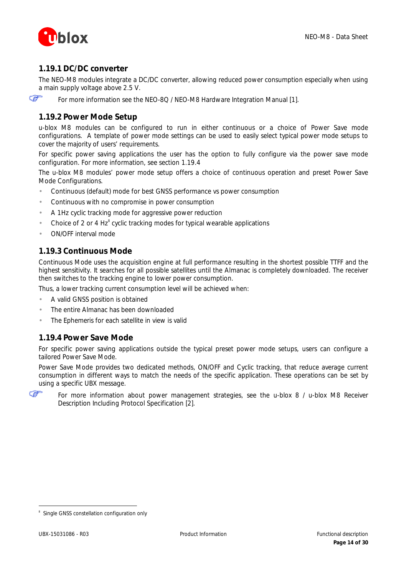

### <span id="page-13-0"></span>**1.19.1 DC/DC converter**

The NEO-M8 modules integrate a DC/DC converter, allowing reduced power consumption especially when using a main supply voltage above 2.5 V.

**P** 

For more information see the *NEO-8Q / NEO-M8 Hardware Integration Manual* [\[1\].](#page-28-2)

#### <span id="page-13-1"></span>**1.19.2 Power Mode Setup**

u-blox M8 modules can be configured to run in either continuous or a choice of Power Save mode configurations. A template of power mode settings can be used to easily select typical power mode setups to cover the majority of users' requirements.

For specific power saving applications the user has the option to fully configure via the power save mode configuration. For more information, see section [1.19.4](#page-13-3)

The u-blox M8 modules' power mode setup offers a choice of continuous operation and preset Power Save Mode Configurations.

- Continuous (default) mode for best GNSS performance vs power consumption
- Continuous with no compromise in power consumption
- A 1Hz cyclic tracking mode for aggressive power reduction
- Choice of 2 or 4  $Hz<sup>8</sup>$  cyclic tracking modes for typical wearable applications
- ON/OFF interval mode

#### <span id="page-13-2"></span>**1.19.3 Continuous Mode**

Continuous Mode uses the acquisition engine at full performance resulting in the shortest possible TTFF and the highest sensitivity. It searches for all possible satellites until the Almanac is completely downloaded. The receiver then switches to the tracking engine to lower power consumption.

Thus, a lower tracking current consumption level will be achieved when:

- A valid GNSS position is obtained
- The entire Almanac has been downloaded
- <span id="page-13-3"></span>The Ephemeris for each satellite in view is valid

#### **1.19.4 Power Save Mode**

For specific power saving applications outside the typical preset power mode setups, users can configure a tailored Power Save Mode.

Power Save Mode provides two dedicated methods, ON/OFF and Cyclic tracking, that reduce average current consumption in different ways to match the needs of the specific application. These operations can be set by using a specific UBX message.

ক্লে

 $\overline{a}$ 

For more information about power management strategies, see the *u-blox 8 / u-blox M8 Receiver Description Including Protocol Specification* [\[2\].](#page-28-3)

<sup>8</sup> Single GNSS constellation configuration only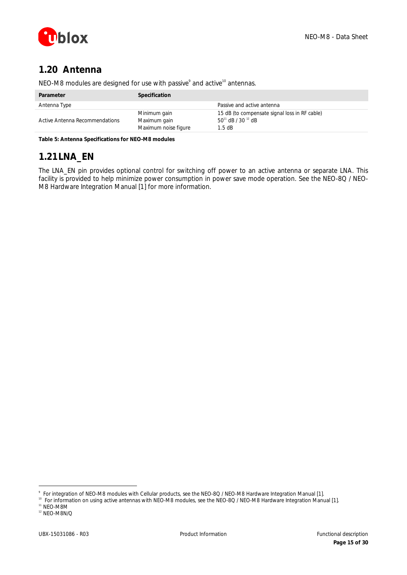

# <span id="page-14-0"></span>**1.20 Antenna**

| Parameter                      | Specification                                        |                                                                                         |
|--------------------------------|------------------------------------------------------|-----------------------------------------------------------------------------------------|
| Antenna Type                   |                                                      | Passive and active antenna                                                              |
| Active Antenna Recommendations | Minimum gain<br>Maximum gain<br>Maximum noise figure | 15 dB (to compensate signal loss in RF cable)<br>$50^{11}$ dB / 30 $^{12}$ dB<br>1.5 dB |

NEO-M8 modules are designed for use with passive<sup>9</sup> and active<sup>10</sup> antennas.

**Table 5: Antenna Specifications for NEO-M8 modules**

# <span id="page-14-1"></span>**1.21LNA\_EN**

The LNA\_EN pin provides optional control for switching off power to an active antenna or separate LNA. This facility is provided to help minimize power consumption in power save mode operation. See the *NEO-8Q / NEO-M8 Hardware Integration Manual* [\[1\]](#page-28-2) *for more information.*

 $\overline{a}$ 

<sup>9</sup> For integration of NEO-M8 modules with Cellular products, see the *NEO-8Q / NEO-M8 Hardware Integration Manual* [\[1\].](#page-28-2)

<sup>&</sup>lt;sup>10</sup> For information on using active antennas with NEO-M8 modules, see the *NEO-8Q / NEO-M8 Hardware Integration Manual* [\[1\].](#page-28-2)  $11$  NEO-M8M

<sup>12</sup> NEO-M8N/Q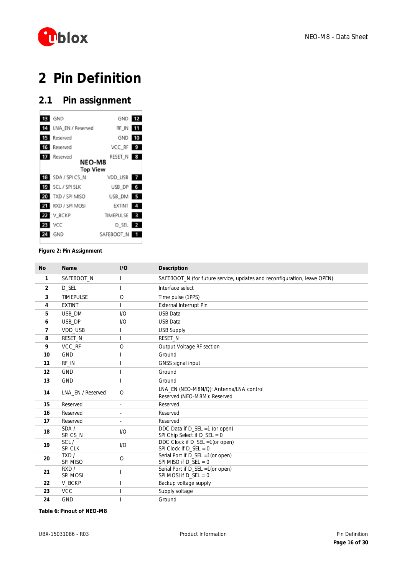

# <span id="page-15-0"></span>**Pin Definition**

# <span id="page-15-1"></span>**2.1 Pin assignment**

| 13 | GND               | GND 12           |                |
|----|-------------------|------------------|----------------|
| 14 | LNA_EN / Reserved | RF_IN            |                |
|    | Reserved          | GND 10           |                |
|    | 16 Reserved       | VCC RF 9         |                |
| 17 | Reserved          | RESET_N 8        |                |
|    | <b>NEO-M8</b>     |                  |                |
|    | <b>Top View</b>   |                  |                |
| 18 | SDA / SPICS_N     | VDD USB          |                |
|    | 19 SCL/SPISLK     | USB DP 6         |                |
|    | 20 TXD / SPI MISO | USB DM 5         |                |
|    | RXD / SPI MOSI    | EXTINT           | $\overline{a}$ |
| 22 | V_BCKP            | <b>TIMEPULSE</b> |                |
| 23 | <b>VCC</b>        | D_SEL 2          |                |
| 24 | GND               | SAFEBOOT N       |                |
|    |                   |                  |                |

#### **Figure 2: Pin Assignment**

| <b>No</b>      | <b>Name</b>       | I/O      | <b>Description</b>                                                       |
|----------------|-------------------|----------|--------------------------------------------------------------------------|
| 1              | SAFEBOOT_N        |          | SAFEBOOT_N (for future service, updates and reconfiguration, leave OPEN) |
| $\overline{2}$ | D SEL             |          | Interface select                                                         |
| 3              | <b>TIMFPULSE</b>  | $\Omega$ | Time pulse (1PPS)                                                        |
| 4              | <b>FXTINT</b>     |          | External Interrupt Pin                                                   |
| 5              | USB_DM            | 1/O      | <b>USB Data</b>                                                          |
| 6              | USB DP            | 1/O      | <b>USB Data</b>                                                          |
| 7              | VDD USB           |          | <b>USB Supply</b>                                                        |
| 8              | RESET_N           |          | RESET N                                                                  |
| 9              | VCC_RF            | $\circ$  | Output Voltage RF section                                                |
| 10             | <b>GND</b>        |          | Ground                                                                   |
| 11             | RF IN             |          | GNSS signal input                                                        |
| 12             | <b>GND</b>        |          | Ground                                                                   |
| 13             | <b>GND</b>        |          | Ground                                                                   |
| 14             | LNA EN / Reserved | $\circ$  | LNA EN (NEO-M8N/Q): Antenna/LNA control<br>Reserved (NEO-M8M): Reserved  |
| 15             | Reserved          | L.       | Reserved                                                                 |
| 16             | Reserved          | ٠        | Reserved                                                                 |
| 17             | Reserved          |          | Reserved                                                                 |
| 18             | SDA/<br>SPICS N   | 1/O      | DDC Data if D_SEL =1 (or open)<br>SPI Chip Select if $D$ SEL = 0         |
| 19             | SCL/<br>SPI CLK   | I/O      | DDC Clock if D_SEL =1(or open)<br>SPI Clock if $D$ SEL = 0               |
| 20             | TXD/<br>SPI MISO  | $\circ$  | Serial Port if D_SEL =1(or open)<br>SPI MISO if $D\_SEL = 0$             |
| 21             | RXD /<br>SPI MOSI |          | Serial Port if D_SEL =1(or open)<br>SPI MOSI if $D\_SEL = 0$             |
| 22             | V_BCKP            |          | Backup voltage supply                                                    |
| 23             | <b>VCC</b>        |          | Supply voltage                                                           |
| 24             | <b>GND</b>        |          | Ground                                                                   |

**Table 6: Pinout of NEO-M8**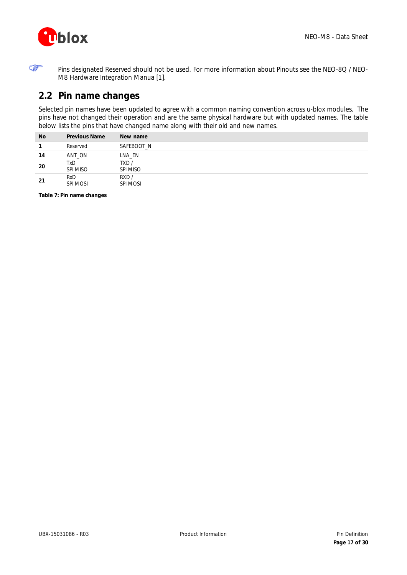

F

Pins designated Reserved should not be used. For more information about Pinouts see the *NEO-8Q / NEO-M8 Hardware Integration Manua* [\[1\].](#page-28-2)

# <span id="page-16-0"></span>**2.2 Pin name changes**

Selected pin names have been updated to agree with a common naming convention across u-blox modules. The pins have not changed their operation and are the same physical hardware but with updated names. The table below lists the pins that have changed name along with their old and new names.

| <b>No</b> | <b>Previous Name</b> | New name         |
|-----------|----------------------|------------------|
| 1         | Reserved             | SAFEBOOT N       |
| 14        | ANT ON               | LNA EN           |
| 20        | TxD<br>SPI MISO      | TXD/<br>SPI MISO |
| 21        | RxD<br>SPI MOSI      | RXD/<br>SPI MOSI |

**Table 7: Pin name changes**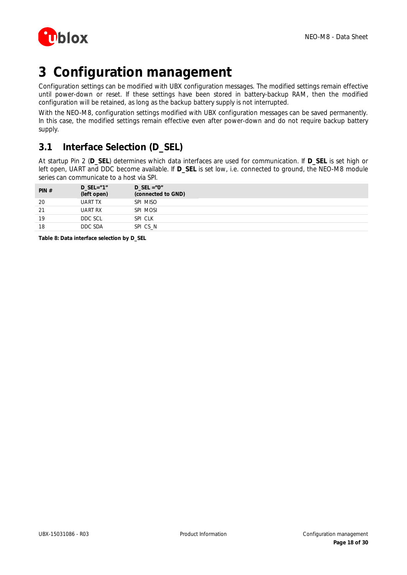

# <span id="page-17-0"></span>**3 Configuration management**

Configuration settings can be modified with UBX configuration messages. The modified settings remain effective until power-down or reset. If these settings have been stored in battery-backup RAM, then the modified configuration will be retained, as long as the backup battery supply is not interrupted.

With the NEO-M8, configuration settings modified with UBX configuration messages can be saved permanently. In this case, the modified settings remain effective even after power-down and do not require backup battery supply.

# <span id="page-17-1"></span>**3.1 Interface Selection (D\_SEL)**

At startup Pin 2 (**D\_SEL**) determines which data interfaces are used for communication. If **D\_SEL** is set high or left open, UART and DDC become available. If **D\_SEL** is set low, i.e. connected to ground, the NEO-M8 module series can communicate to a host via SPI.

| PIN# | D SEL= $"1"$<br>(left open) | D SEL = $"0"$<br>(connected to GND) |
|------|-----------------------------|-------------------------------------|
| 20   | <b>UART TX</b>              | SPI MISO                            |
| 21   | UART RX                     | SPI MOSI                            |
| 19   | DDC SCL                     | SPI CLK                             |
| 18   | DDC SDA                     | SPI CS N                            |

**Table 8: Data interface selection by D\_SEL**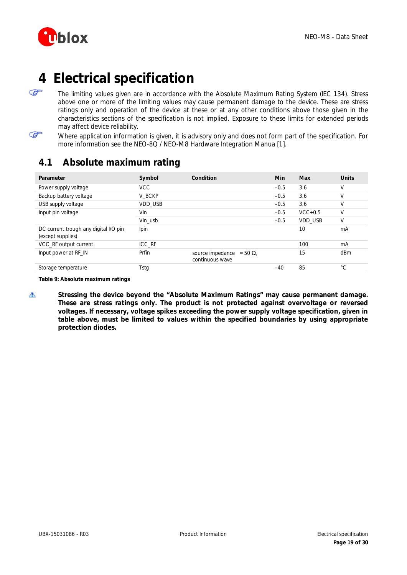

# <span id="page-18-0"></span>**4 Electrical specification**

The limiting values given are in accordance with the Absolute Maximum Rating System (IEC 134). Stress above one or more of the limiting values may cause permanent damage to the device. These are stress ratings only and operation of the device at these or at any other conditions above those given in the characteristics sections of the specification is not implied. Exposure to these limits for extended periods may affect device reliability.

F

F

Where application information is given, it is advisory only and does not form part of the specification. For more information see the *NEO-8Q / NEO-M8 Hardware Integration Manua* [\[1\].](#page-28-2)

# <span id="page-18-1"></span>**4.1 Absolute maximum rating**

| Parameter                                                  | Symbol     | Condition                                         | Min    | Max            | <b>Units</b> |
|------------------------------------------------------------|------------|---------------------------------------------------|--------|----------------|--------------|
| Power supply voltage                                       | <b>VCC</b> |                                                   | $-0.5$ | 3.6            | V            |
| Backup battery voltage                                     | V BCKP     |                                                   | $-0.5$ | 3.6            | V            |
| USB supply voltage                                         | VDD USB    |                                                   | $-0.5$ | 3.6            | $\vee$       |
| Input pin voltage                                          | Vin        |                                                   | $-0.5$ | $VCC+0.5$      | V            |
|                                                            | Vin usb    |                                                   | $-0.5$ | <b>VDD USB</b> | V            |
| DC current trough any digital I/O pin<br>(except supplies) | Ipin       |                                                   |        | 10             | mA           |
| VCC_RF output current                                      | ICC RF     |                                                   |        | 100            | mA           |
| Input power at RF_IN                                       | Prfin      | source impedance<br>$= 50 W$ .<br>continuous wave |        | 15             | dBm          |
| Storage temperature                                        | Tstg       |                                                   | $-40$  | 85             | °С           |

**Table 9: Absolute maximum ratings**

⚠ **Stressing the device beyond the "Absolute Maximum Ratings" may cause permanent damage. These are stress ratings only. The product is not protected against overvoltage or reversed voltages. If necessary, voltage spikes exceeding the power supply voltage specification, given in table above, must be limited to values within the specified boundaries by using appropriate protection diodes.**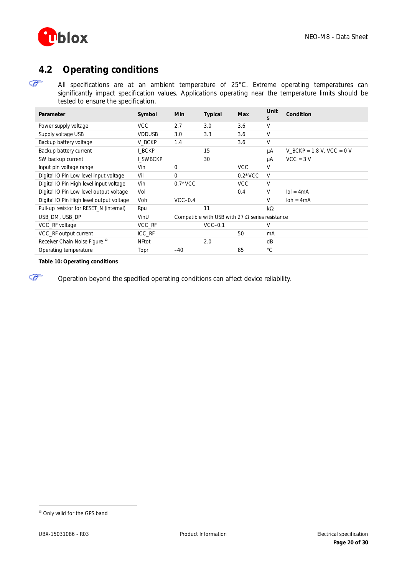

# <span id="page-19-0"></span>**4.2 Operating conditions**

G

G

All specifications are at an ambient temperature of 25°C. Extreme operating temperatures can significantly impact specification values. Applications operating near the temperature limits should be tested to ensure the specification.

| Parameter                                 | Symbol        | Min          | Typical                                                | Max        | Unit<br>S   | Condition                   |
|-------------------------------------------|---------------|--------------|--------------------------------------------------------|------------|-------------|-----------------------------|
| Power supply voltage                      | <b>VCC</b>    | 2.7          | 3.0                                                    | 3.6        | V           |                             |
| Supply voltage USB                        | <b>VDDUSB</b> | 3.0          | 3.3                                                    | 3.6        | V           |                             |
| Backup battery voltage                    | V BCKP        | 1.4          |                                                        | 3.6        | V           |                             |
| Backup battery current                    | I BCKP        |              | 15                                                     |            | μA          | V BCKP = $1.8$ V, VCC = 0 V |
| SW backup current                         | I SWBCKP      |              | 30                                                     |            | μA          | $VCC = 3 V$                 |
| Input pin voltage range                   | Vin           | $\mathbf{0}$ |                                                        | <b>VCC</b> | V           |                             |
| Digital IO Pin Low level input voltage    | Vil           | $\Omega$     |                                                        | $0.2*VCC$  | V           |                             |
| Digital IO Pin High level input voltage   | Vih           | $0.7*VCC$    |                                                        | <b>VCC</b> | V           |                             |
| Digital IO Pin Low level output voltage   | Vol           |              |                                                        | 0.4        | V           | $\text{IoI} = 4 \text{mA}$  |
| Digital IO Pin High level output voltage  | Voh           | $VCC-0.4$    |                                                        |            | V           | $\text{loh} = 4 \text{mA}$  |
| Pull-up resistor for RESET N (internal)   | Rpu           |              | 11                                                     |            | kW          |                             |
| USB DM, USB DP                            | VinU          |              | Compatible with USB with 27 $\Omega$ series resistance |            |             |                             |
| VCC_RF voltage                            | VCC_RF        |              | $VCC-0.1$                                              |            | V           |                             |
| VCC_RF output current                     | ICC_RF        |              |                                                        | 50         | mA          |                             |
| Receiver Chain Noise Figure <sup>13</sup> | <b>NFtot</b>  |              | 2.0                                                    |            | dB          |                             |
| Operating temperature                     | Topr          | $-40$        |                                                        | 85         | $^{\circ}C$ |                             |

#### **Table 10: Operating conditions**

Operation beyond the specified operating conditions can affect device reliability.

 $\overline{a}$ 

<sup>&</sup>lt;sup>13</sup> Only valid for the GPS band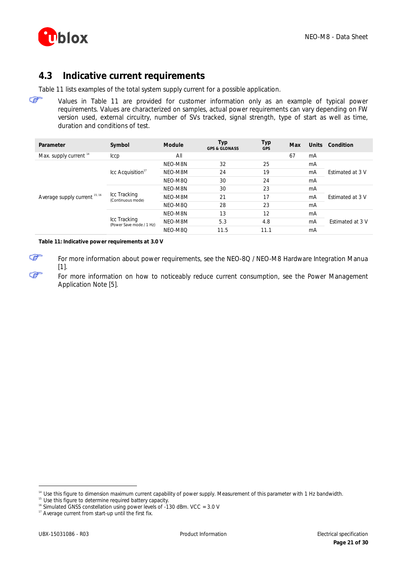

## <span id="page-20-0"></span>**4.3 Indicative current requirements**

[Table 11](#page-20-1) lists examples of the total system supply current for a possible application.

F Values in [Table 11](#page-20-1) are provided for customer information only as an example of typical power requirements. Values are characterized on samples, actual power requirements can vary depending on FW version used, external circuitry, number of SVs tracked, signal strength, type of start as well as time, duration and conditions of test.

| Parameter                         | Symbol                                                                        | Module  | Typ<br><b>GPS &amp; GLONASS</b> | Тур<br><b>GPS</b> | Max | <b>Units</b> | Condition                                          |
|-----------------------------------|-------------------------------------------------------------------------------|---------|---------------------------------|-------------------|-----|--------------|----------------------------------------------------|
| Max. supply current <sup>14</sup> | <b>Iccp</b>                                                                   | All     |                                 |                   | 67  | mA           |                                                    |
|                                   |                                                                               | NFO-M8N | 32                              | 25                |     | mA           | <b>Estimated at 3 V</b>                            |
|                                   | $\text{Lcc}$ Acquisition <sup>17</sup>                                        | NEO-M8M | 24                              | 19                |     | mA           |                                                    |
|                                   |                                                                               | NEO-M8Q | 30                              | 24                |     | mA           |                                                    |
|                                   |                                                                               | NEO-M8N | 30                              | 23                |     | mA           |                                                    |
| Average supply current 15, 16     | Icc Tracking<br>(Continuous mode)<br>Icc Tracking<br>(Power Save mode / 1 Hz) | NEO-M8M | 21                              | 17                |     | mA           | <b>Estimated at 3 V</b><br><b>Fstimated at 3 V</b> |
|                                   |                                                                               | NFO-M8O | 28                              | 23                |     | mA           |                                                    |
|                                   |                                                                               | NEO-M8N | 13                              | 12                |     | mA           |                                                    |
|                                   |                                                                               | NEO-M8M | 5.3                             | 4.8               |     | mA           |                                                    |
|                                   |                                                                               | NEO-M8Q | 11.5                            | 11.1              |     | mA           |                                                    |

<span id="page-20-1"></span>**Table 11: Indicative power requirements at 3.0 V**

F For more information about power requirements, see the *NEO-8Q / NEO-M8 Hardware Integration Manua* [\[1\].](#page-28-2)

For more information on how to noticeably reduce current consumption, see the *Power Management Application Note* [\[5\].](#page-28-6)

<sup>14</sup> Use this figure to dimension maximum current capability of power supply. Measurement of this parameter with 1 Hz bandwidth.

<sup>15</sup> Use this figure to determine required battery capacity.

 $\overline{a}$ 

ক্ত

<sup>&</sup>lt;sup>16</sup> Simulated GNSS constellation using power levels of -130 dBm. VCC = 3.0 V

<sup>&</sup>lt;sup>17</sup> Average current from start-up until the first fix.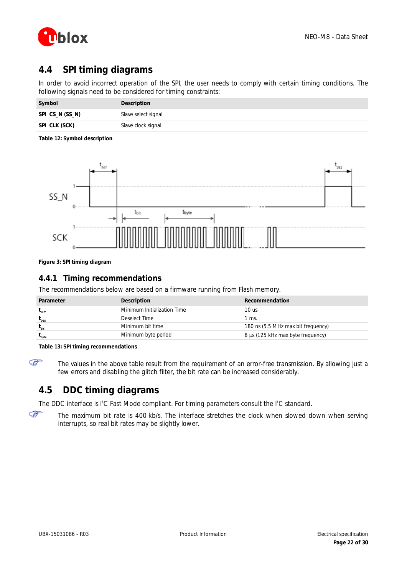

# <span id="page-21-0"></span>**4.4 SPI timing diagrams**

In order to avoid incorrect operation of the SPI, the user needs to comply with certain timing conditions. The following signals need to be considered for timing constraints:

| Symbol          | Description         |
|-----------------|---------------------|
| SPI CS_N (SS_N) | Slave select signal |
| SPI CLK (SCK)   | Slave clock signal  |

#### **Table 12: Symbol description**



**Figure 3: SPI timing diagram**

### <span id="page-21-1"></span>**4.4.1 Timing recommendations**

The recommendations below are based on a firmware running from Flash memory.

| Parameter                  | Description                 | Recommendation                     |
|----------------------------|-----------------------------|------------------------------------|
| $t_{\text{init}}$          | Minimum Initialization Time | 10 us                              |
| $t_{\text{des}}$           | Deselect Time               | l ms.                              |
| $t_{\rm hit}$              | Minimum bit time            | 180 ns (5.5 MHz max bit frequency) |
| $\mathbf{t}_{\text{byte}}$ | Minimum byte period         | 8 ms (125 kHz max byte frequency)  |

**Table 13: SPI timing recommendations**

F

The values in the above table result from the requirement of an error-free transmission. By allowing just a few errors and disabling the glitch filter, the bit rate can be increased considerably.

# <span id="page-21-2"></span>**4.5 DDC timing diagrams**

The DDC interface is  $I^2C$  Fast Mode compliant. For timing parameters consult the  $I^2C$  standard.

☞

The maximum bit rate is 400 kb/s. The interface stretches the clock when slowed down when serving interrupts, so real bit rates may be slightly lower.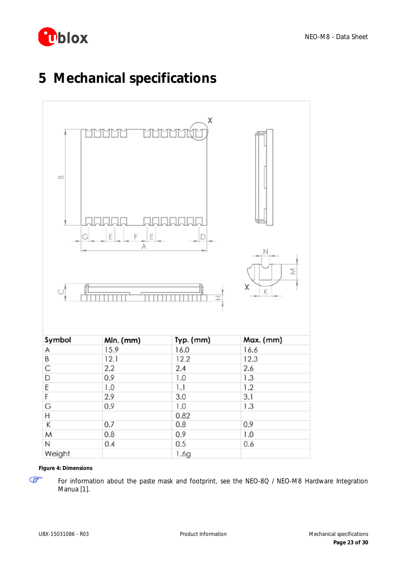

# <span id="page-22-0"></span>**5 Mechanical specifications**



**Figure 4: Dimensions** 

G

For information about the paste mask and footprint, see the *NEO-8Q / NEO-M8 Hardware Integration Manua* [\[1\].](#page-28-2)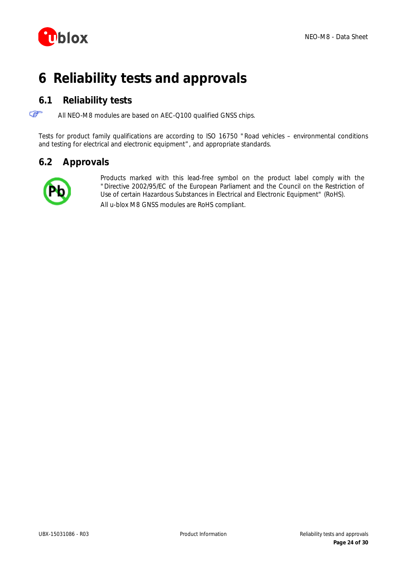

# <span id="page-23-0"></span>**6 Reliability tests and approvals**

## <span id="page-23-1"></span>**6.1 Reliability tests**

F All NEO-M8 modules are based on AEC-Q100 qualified GNSS chips.

Tests for product family qualifications are according to ISO 16750 "Road vehicles – environmental conditions and testing for electrical and electronic equipment", and appropriate standards.

## <span id="page-23-2"></span>**6.2 Approvals**



Products marked with this lead-free symbol on the product label comply with the "Directive 2002/95/EC of the European Parliament and the Council on the Restriction of Use of certain Hazardous Substances in Electrical and Electronic Equipment" (RoHS). All u-blox M8 GNSS modules are RoHS compliant.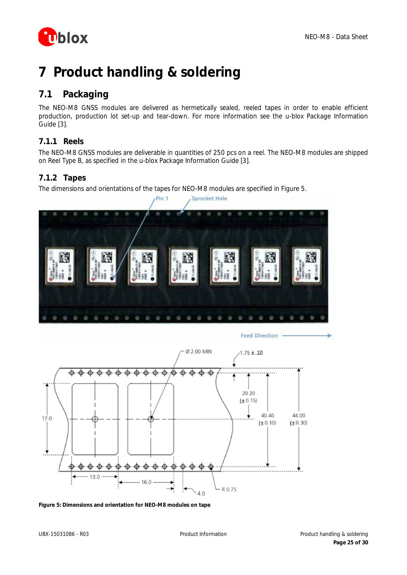

# <span id="page-24-0"></span>**7 Product handling & soldering**

# <span id="page-24-1"></span>**7.1 Packaging**

The NEO-M8 GNSS modules are delivered as hermetically sealed, reeled tapes in order to enable efficient production, production lot set-up and tear-down. For more information see the *u-blox Package Information Guide* [\[3\].](#page-28-7)

## <span id="page-24-2"></span>**7.1.1 Reels**

The NEO-M8 GNSS modules are deliverable in quantities of 250 pcs on a reel. The NEO-M8 modules are shipped on Reel Type B, as specified in the *u-blox Package Information Guide* [\[3\].](#page-28-7)

### <span id="page-24-3"></span>**7.1.2 Tapes**

The dimensions and orientations of the tapes for NEO-M8 modules are specified in [Figure 5.](#page-24-4)



Feed Direction



<span id="page-24-4"></span>**Figure 5: Dimensions and orientation for NEO-M8 modules on tape**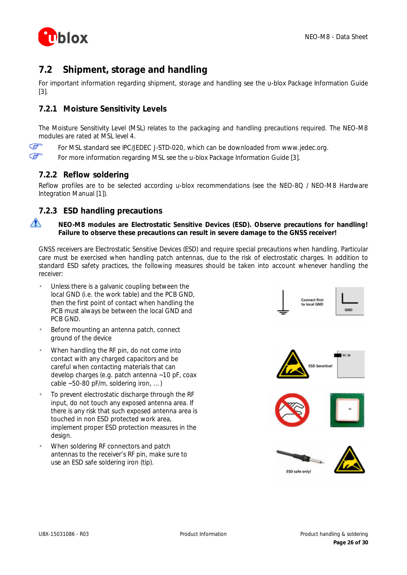

# <span id="page-25-0"></span>**7.2 Shipment, storage and handling**

For important information regarding shipment, storage and handling see the *u-blox Package Information Guide* [\[3\].](#page-28-7)

### <span id="page-25-1"></span>**7.2.1 Moisture Sensitivity Levels**

The Moisture Sensitivity Level (MSL) relates to the packaging and handling precautions required. The NEO-M8 modules are rated at MSL level 4.

ক্ত For MSL standard see IPC/JEDEC J-STD-020, which can be downloaded from [www.jedec.org.](http://www.jedec.org/) **P** For more information regarding MSL see the *u-blox Package Information Guide* [\[3\].](#page-28-7)

### <span id="page-25-2"></span>**7.2.2 Reflow soldering**

Reflow profiles are to be selected according u-blox recommendations (see the *NEO-8Q / NEO-M8 Hardware Integration Manual* [\[1\]\).](#page-28-2)

### <span id="page-25-3"></span>**7.2.3 ESD handling precautions**

 $\sqrt{2}$ 

#### **NEO-M8 modules are Electrostatic Sensitive Devices (ESD). Observe precautions for handling! Failure to observe these precautions can result in severe damage to the GNSS receiver!**

GNSS receivers are Electrostatic Sensitive Devices (ESD) and require special precautions when handling. Particular care must be exercised when handling patch antennas, due to the risk of electrostatic charges. In addition to standard ESD safety practices, the following measures should be taken into account whenever handling the receiver:

- Unless there is a galvanic coupling between the local GND (i.e. the work table) and the PCB GND, then the first point of contact when handling the PCB must always be between the local GND and PCB GND.
- Before mounting an antenna patch, connect ground of the device
- When handling the RF pin, do not come into contact with any charged capacitors and be careful when contacting materials that can develop charges (e.g. patch antenna ~10 pF, coax cable  $~50-80$  pF/m, soldering iron, ...)
- To prevent electrostatic discharge through the RF input, do not touch any exposed antenna area. If there is any risk that such exposed antenna area is touched in non ESD protected work area, implement proper ESD protection measures in the design.
- When soldering RF connectors and patch antennas to the receiver's RF pin, make sure to use an ESD safe soldering iron (tip).





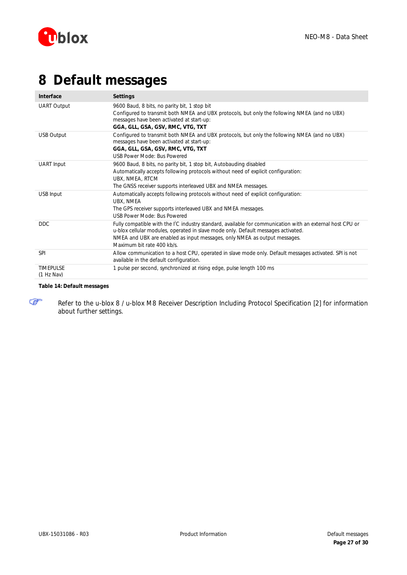

# <span id="page-26-0"></span>**8 Default messages**

| Interface                      | Settings                                                                                                                                                                                                                                                                                                               |
|--------------------------------|------------------------------------------------------------------------------------------------------------------------------------------------------------------------------------------------------------------------------------------------------------------------------------------------------------------------|
| <b>UART Output</b>             | 9600 Baud, 8 bits, no parity bit, 1 stop bit<br>Configured to transmit both NMEA and UBX protocols, but only the following NMEA (and no UBX)<br>messages have been activated at start-up:<br>GGA, GLL, GSA, GSV, RMC, VTG, TXT                                                                                         |
| <b>USB Output</b>              | Configured to transmit both NMEA and UBX protocols, but only the following NMEA (and no UBX)<br>messages have been activated at start-up:<br>GGA, GLL, GSA, GSV, RMC, VTG, TXT<br>USB Power Mode: Bus Powered                                                                                                          |
| <b>UART</b> Input              | 9600 Baud, 8 bits, no parity bit, 1 stop bit, Autobauding disabled<br>Automatically accepts following protocols without need of explicit configuration:<br>UBX, NMEA, RTCM<br>The GNSS receiver supports interleaved UBX and NMEA messages.                                                                            |
| USB Input                      | Automatically accepts following protocols without need of explicit configuration:<br>UBX, NMEA<br>The GPS receiver supports interleaved UBX and NMEA messages.<br>USB Power Mode: Bus Powered                                                                                                                          |
| <b>DDC</b>                     | Fully compatible with the I <sup>2</sup> C industry standard, available for communication with an external host CPU or<br>u-blox cellular modules, operated in slave mode only. Default messages activated.<br>NMEA and UBX are enabled as input messages, only NMEA as output messages.<br>Maximum bit rate 400 kb/s. |
| <b>SPI</b>                     | Allow communication to a host CPU, operated in slave mode only. Default messages activated. SPI is not<br>available in the default configuration.                                                                                                                                                                      |
| <b>TIMEPULSE</b><br>(1 Hz Nav) | 1 pulse per second, synchronized at rising edge, pulse length 100 ms                                                                                                                                                                                                                                                   |

#### **Table 14: Default messages**



Refer to the *u-blox 8 / u-blox M8 Receiver Description Including Protocol Specification* [\[2\]](#page-28-3) for information about further settings.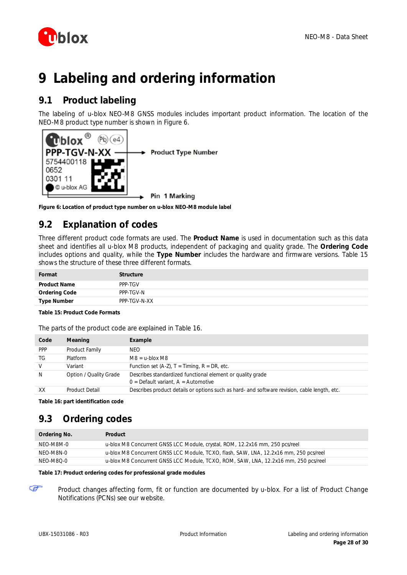

# <span id="page-27-0"></span>**9 Labeling and ordering information**

# <span id="page-27-1"></span>**9.1 Product labeling**

The labeling of u-blox NEO-M8 GNSS modules includes important product information. The location of the NEO-M8 product type number is shown in [Figure 6.](#page-27-4)



<span id="page-27-4"></span>**Figure 6: Location of product type number on u-blox NEO-M8 module label**

# <span id="page-27-2"></span>**9.2 Explanation of codes**

Three different product code formats are used. The **Product Name** is used in documentation such as this data sheet and identifies all u-blox M8 products, independent of packaging and quality grade. The **Ordering Code** includes options and quality, while the **Type Number** includes the hardware and firmware versions. [Table 15](#page-27-5) shows the structure of these three different formats.

| Format              | <b>Structure</b> |
|---------------------|------------------|
| <b>Product Name</b> | PPP-TGV          |
| Ordering Code       | PPP-TGV-N        |
| <b>Type Number</b>  | PPP-TGV-N-XX     |

<span id="page-27-5"></span>**Table 15: Product Code Formats**

The parts of the product code are explained in [Table 16.](#page-27-6)

| Code         | Meaning                | Example                                                                                             |
|--------------|------------------------|-----------------------------------------------------------------------------------------------------|
| <b>PPP</b>   | Product Family         | NFO.                                                                                                |
| TG           | Platform               | $M8 = u$ -blox M8                                                                                   |
| V            | Variant                | Function set $(A-Z)$ , T = Timing, R = DR, etc.                                                     |
| <sup>N</sup> | Option / Quality Grade | Describes standardized functional element or quality grade<br>$0 =$ Default variant, A = Automotive |
| XX           | <b>Product Detail</b>  | Describes product details or options such as hard- and software revision, cable length, etc.        |

<span id="page-27-6"></span>**Table 16: part identification code**

# <span id="page-27-3"></span>**9.3 Ordering codes**

| Ordering No. | Product                                                                               |
|--------------|---------------------------------------------------------------------------------------|
| NFO-M8M-0    | u-blox M8 Concurrent GNSS LCC Module, crystal, ROM, 12.2x16 mm, 250 pcs/reel          |
| NFO-M8N-0    | u-blox M8 Concurrent GNSS LCC Module, TCXO, flash, SAW, LNA, 12.2x16 mm, 250 pcs/reel |
| NEO-M8Q-0    | u-blox M8 Concurrent GNSS LCC Module, TCXO, ROM, SAW, LNA, 12.2x16 mm, 250 pcs/reel   |

#### **Table 17: Product ordering codes for professional grade modules**

Product changes affecting form, fit or function are documented by u-blox. For a list of Product Change Notifications (PCNs) see our website.

F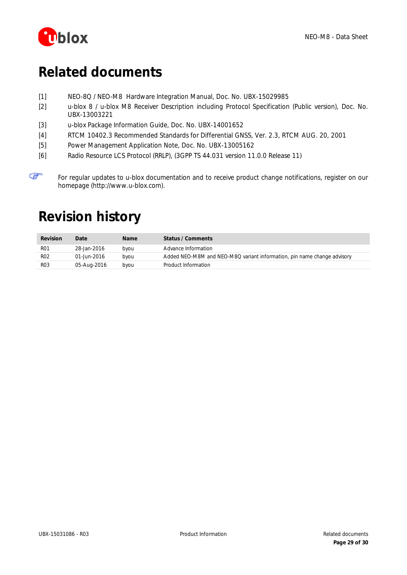

F

# <span id="page-28-0"></span>**Related documents**

- <span id="page-28-2"></span>[1] NEO-8Q / NEO-M8 Hardware Integration Manual, Doc. No. UBX-15029985
- <span id="page-28-3"></span>[2] u-blox 8 / u-blox M8 Receiver Description including Protocol Specification (Public version), Doc. No. UBX-13003221
- <span id="page-28-7"></span>[3] u-blox Package Information Guide, Doc. No. UBX-14001652
- <span id="page-28-4"></span>[4] RTCM 10402.3 Recommended Standards for Differential GNSS, Ver. 2.3, RTCM AUG. 20, 2001
- <span id="page-28-6"></span>[5] Power Management Application Note, Doc. No. UBX-13005162
- <span id="page-28-5"></span>[6] Radio Resource LCS Protocol (RRLP), (3GPP TS 44.031 version 11.0.0 Release 11)

For regular updates to u-blox documentation and to receive product change notifications, register on our homepage [\(http://www.u-blox.com\)](http://www.u-blox.ch/).

# <span id="page-28-1"></span>**Revision history**

| Revision   | Date        | <b>Name</b> | Status / Comments                                                       |
|------------|-------------|-------------|-------------------------------------------------------------------------|
| <b>RO1</b> | 28-Jan-2016 | byou        | Advance Information                                                     |
| R02        | 01-Jun-2016 | byou        | Added NEO-M8M and NEO-M8Q variant information, pin name change advisory |
| R03        | 05-Aug-2016 | byou        | Product Information                                                     |